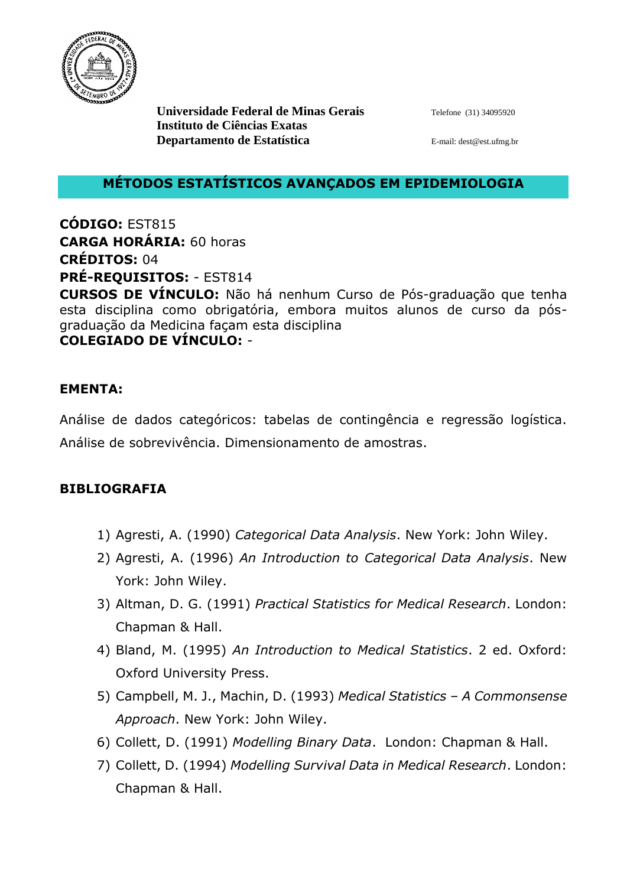

**Universidade Federal de Minas Gerais** Telefone (31) 34095920 **Instituto de Ciências Exatas Departamento de Estatística** E-mail: dest @est.ufmg.br

## **MÉTODOS ESTATÍSTICOS AVANÇADOS EM EPIDEMIOLOGIA**

**CÓDIGO:** EST815 **CARGA HORÁRIA:** 60 horas **CRÉDITOS:** 04 **PRÉ-REQUISITOS:** - EST814

**CURSOS DE VÍNCULO:** Não há nenhum Curso de Pós-graduação que tenha esta disciplina como obrigatória, embora muitos alunos de curso da pósgraduação da Medicina façam esta disciplina **COLEGIADO DE VÍNCULO:** -

## **EMENTA:**

Análise de dados categóricos: tabelas de contingência e regressão logística. Análise de sobrevivência. Dimensionamento de amostras.

## **BIBLIOGRAFIA**

- 1) Agresti, A. (1990) *Categorical Data Analysis*. New York: John Wiley.
- 2) Agresti, A. (1996) *An Introduction to Categorical Data Analysis*. New York: John Wiley.
- 3) Altman, D. G. (1991) *Practical Statistics for Medical Research*. London: Chapman & Hall.
- 4) Bland, M. (1995) *An Introduction to Medical Statistics*. 2 ed. Oxford: Oxford University Press.
- 5) Campbell, M. J., Machin, D. (1993) *Medical Statistics – A Commonsense Approach*. New York: John Wiley.
- 6) Collett, D. (1991) *Modelling Binary Data*. London: Chapman & Hall.
- 7) Collett, D. (1994) *Modelling Survival Data in Medical Research*. London: Chapman & Hall.